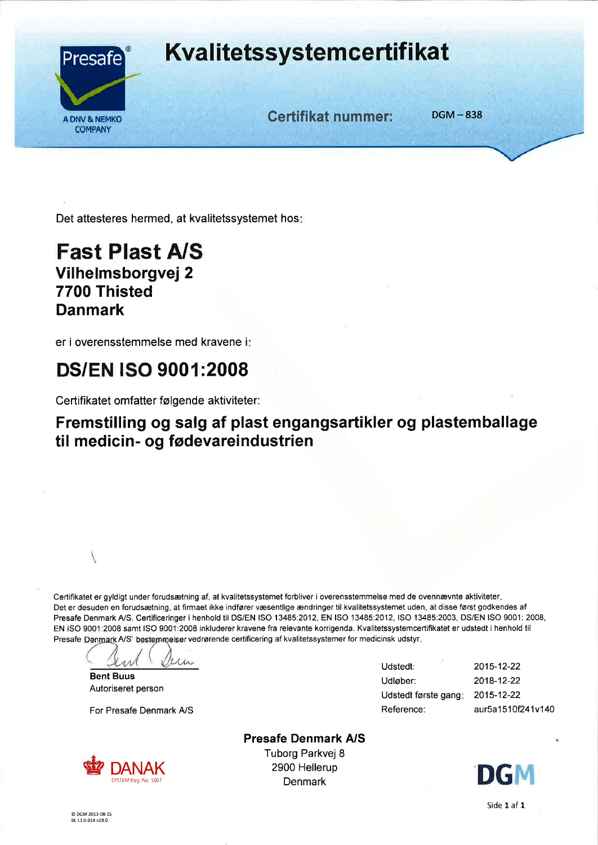

# **Kvalitetssystemcertifikat**

A DNV& NEMKO BOOK Certifikat nummer: DGM -838

Det attesteres hermed, at kvalitetssystemet hos:

### Fast Plast A/S Vilhelmsborgvej 2 7700 Thisted Danmark

er i overensstemmelse med kravene <sup>i</sup>

# DS/EN ISO 9001:2008

Certifikatet omfatter følgende aktiviteter:

#### Fremstilling og salg af plast engangsartikler og plastemballage til medicin- og fødevareindustrien

Certifikatet er gyldigt under forudsætning af, at kvalitetssystemet forbliver i overensstemmelse med de ovennævnte aktiviteter. Det er desuden en forudsætning, at firmaet ikke indfører væsentlige ændringer til kvalitetssystemet uden, at disse først godkendes af Presafe Denmark A/S. Certificeringer i henhold til DS/EN ISO 13485:2012, EN ISO 13485:2012, ISO 13485:2003, DS/EN ISO 9001: 2008, EN ISO 9001 :2008 samt ISO 9001:2008 inkluderer kravene fra relevante korrigenda. Kvalitetssystemcertifikatet er udstedt i henhold til Presafe Denmark A/S' bestemmelser vedrørende certificering af kvalitetssystemer for medicinsk udstyr.

u.

Bent Buus Autoriseret person

For Presafe Denmark A/S



Presafe Denmark A/S Tuborg Parkvej 8 2900 Hellerup  $DANAR$ <br>SYSTEM Reg. No. 5007 Denmark Denmark Denmark DG

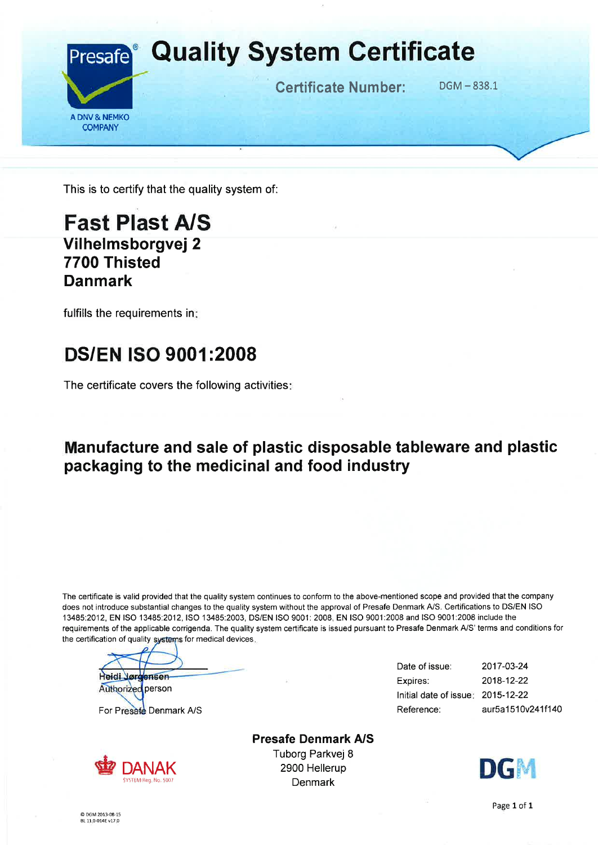

This is to certify that the quality system of:

### Fast Plast A/S Vilhelmsborgvej 2 7700 Thisted Danmark

fulfills the requirements in

# DS/EN ISO 9001 :2008

The certificate covers the following activities:

#### Manufacture and sale of plastic disposable tableware and plastic packaging to the medicinal and food industry

The certificate is valid provided that the quality system continues to conform to the above-mentioned scope and provided that the company does not introduce substantial changes to the quality system without the approval of Presafe Denmark A/S. Certifications to DS/EN ISO 13485:2Q12, EN ISO 13485:2012,1SO 13485:2003, DS/EN ISO 9001: 2008, EN ISO 9001:2008 and ISO 9001:2008 include the requirements of the applicable corrigenda. The quality system certificate is issued pursuant to Presafe Denmark A/S' terms and conditions for the certification of quality systems for medical devices.

Heidi Jørgensen

Authorized person For Presafe Denmark A/S



Presafe Denmark A/S Tuborg Parkvej 8 2900 Hellerup **Denmark** 

Date of issue: Expires: lnitial date of issue 2015-12-22 Reference: 2017-03-24 2018-12-22 aur5a1510v241f140

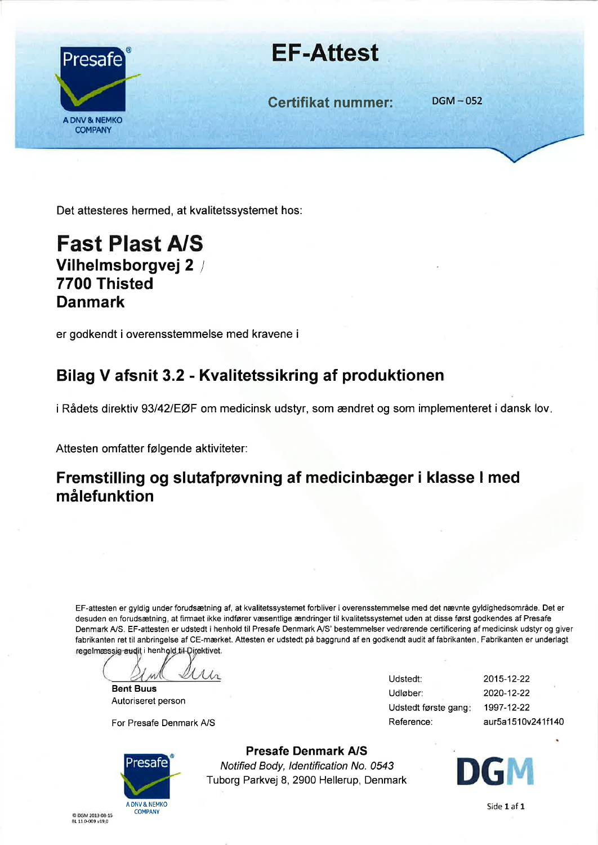

# EF-Attest

Certifikat nummer: DGM-052

Det attesteres hermed, at kvalitetssystemet hos:

### Fast Plast A/S Vilhelmsborgvej 2 / 7700 Thisted Danmark

er godkendt i overensstemmelse med kravene <sup>i</sup>

## Bilag V afsnit 3.2 - Kvalitetssikring af produktionen

i Rådets direktiv 93/42/EØF om medicinsk udstyr, som ændret og som implementeret i dansk lov.

Attesten omfatter følgende aktiviteter:

#### Fremstilling og slutafprøvning af medicinbæger i klasse I med målefunktion

EF-attesten er gyldig under forudsætning af, at kvalitetssystemet forbliver i overensstemmelse med det nævnte gyldighedsområde. Det er desuden en forudsætning, at firmaet ikke indfører væsentlige ændringer til kvalitetssystemet uden at disse først godkendes af Presafe Denmark A/S. EF-attesten er udstedt i henhold til Presafe Denmark A/S' bestemmelser vedrørende certificering af medicinsk udstyr og giver fabrikanten ret til anbringelse af CE-mærket. Attesten er udstedt på baggrund af en godkendt audit af fabrikanten. Fabrikanten er underlagt regelmæssig audit i henhold til-Direktivet.

Uh.

Bent Buus Autoriseret person

For Presafe Denmark A/S



Udstedt: Udløber: Udstedt første gang Reference: 2015-12-22 2020-12-22 1997-12-22 aur5a1510v241f140

Presafe Denmark A/S Notified Body, ldentification No. 0543 Tuborg Parkvej 8, 2900 Hellerup, Denmark